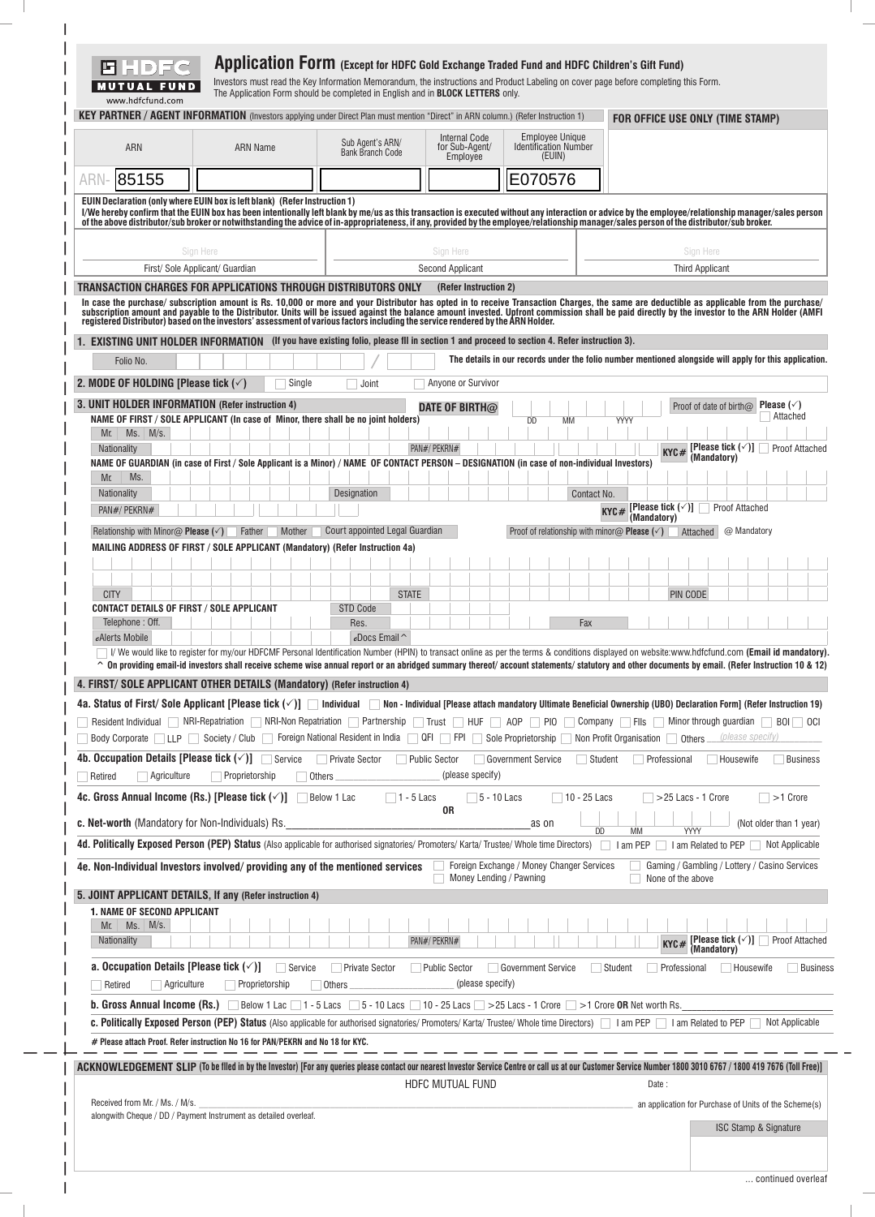|                                                                               | <b>KEY PARTNER / AGENT INFORMATION</b> (Investors applying under Direct Plan must mention "Direct" in ARN column.) (Refer Instruction 1)                                                                                                                                                                                                      |                                                                |                                             |                                                             | FOR OFFICE USE ONLY (TIME STAMP)                                                                                                                                                                                                                                                                                                                                                                                |
|-------------------------------------------------------------------------------|-----------------------------------------------------------------------------------------------------------------------------------------------------------------------------------------------------------------------------------------------------------------------------------------------------------------------------------------------|----------------------------------------------------------------|---------------------------------------------|-------------------------------------------------------------|-----------------------------------------------------------------------------------------------------------------------------------------------------------------------------------------------------------------------------------------------------------------------------------------------------------------------------------------------------------------------------------------------------------------|
| <b>ARN</b>                                                                    | <b>ARN Name</b>                                                                                                                                                                                                                                                                                                                               | Sub Agent's ARN/<br><b>Bank Branch Code</b>                    | Internal Code<br>for Sub-Agent/<br>Employee | Employee Unique<br><b>Identification Number</b><br>(EUIN)   |                                                                                                                                                                                                                                                                                                                                                                                                                 |
| 85155                                                                         |                                                                                                                                                                                                                                                                                                                                               |                                                                |                                             | E070576                                                     |                                                                                                                                                                                                                                                                                                                                                                                                                 |
|                                                                               | EUIN Declaration (only where EUIN box is left blank) (Refer Instruction 1)<br>Sign Here                                                                                                                                                                                                                                                       |                                                                | Sign Here                                   |                                                             | I/We hereby confirm that the EUIN box has been intentionally left blank by me/us as this transaction is executed without any interaction or advice by the employee/relationship manager/sales person<br>of the above distributor/sub broker or notwithstanding the advice of in-appropriateness, if any, provided by the employee/relationship manager/sales person of the distributor/sub broker.<br>Sign Here |
|                                                                               | First/ Sole Applicant/ Guardian                                                                                                                                                                                                                                                                                                               |                                                                | <b>Second Applicant</b>                     |                                                             | <b>Third Applicant</b>                                                                                                                                                                                                                                                                                                                                                                                          |
|                                                                               | TRANSACTION CHARGES FOR APPLICATIONS THROUGH DISTRIBUTORS ONLY<br>registered Distributor) based on the investors' assessment of various factors including the service rendered by the ARN Holder.<br>1. EXISTING UNIT HOLDER INFORMATION (If you have existing folio, please fil in section 1 and proceed to section 4. Refer instruction 3). |                                                                | (Refer Instruction 2)                       |                                                             | In case the purchase/subscription amount is Rs. 10,000 or more and your Distributor has opted in to receive Transaction Charges, the same are deductible as applicable from the purchase/<br>subscription amount and payable to t                                                                                                                                                                               |
| Folio No.                                                                     |                                                                                                                                                                                                                                                                                                                                               |                                                                |                                             |                                                             | The details in our records under the folio number mentioned alongside will apply for this application.                                                                                                                                                                                                                                                                                                          |
| 2. MODE OF HOLDING [Please tick $(\checkmark)$                                | Single                                                                                                                                                                                                                                                                                                                                        | Joint                                                          | Anyone or Survivor                          |                                                             |                                                                                                                                                                                                                                                                                                                                                                                                                 |
| 3. UNIT HOLDER INFORMATION (Refer instruction 4)                              |                                                                                                                                                                                                                                                                                                                                               |                                                                | DATE OF BIRTH $@$                           |                                                             | Proof of date of birth@ Please (v)                                                                                                                                                                                                                                                                                                                                                                              |
| Mr. Ms. M/s.                                                                  | NAME OF FIRST / SOLE APPLICANT (In case of Minor, there shall be no joint holders)                                                                                                                                                                                                                                                            |                                                                |                                             | <b>DD</b><br>MМ                                             | Attached<br>YYYY                                                                                                                                                                                                                                                                                                                                                                                                |
| Nationality                                                                   |                                                                                                                                                                                                                                                                                                                                               |                                                                | PAN#/ PEKRN#                                |                                                             | [Please tick $(\check{\phantom{a}})$ ]<br>Proof Attached<br>KYC#<br>(Mandatory)                                                                                                                                                                                                                                                                                                                                 |
| Ms.<br>Mr.                                                                    | NAME OF GUARDIAN (in case of First / Sole Applicant is a Minor) / NAME OF CONTACT PERSON - DESIGNATION (in case of non-individual Investors)                                                                                                                                                                                                  |                                                                |                                             |                                                             |                                                                                                                                                                                                                                                                                                                                                                                                                 |
| Nationality<br>PAN#/PEKRN#                                                    |                                                                                                                                                                                                                                                                                                                                               | Designation                                                    |                                             |                                                             | Contact No.<br>Proof Attached                                                                                                                                                                                                                                                                                                                                                                                   |
|                                                                               |                                                                                                                                                                                                                                                                                                                                               | Court appointed Legal Guardian                                 |                                             |                                                             | KYC# [Please tick $(\checkmark)$ ] $\Box$<br>(Mandatory)                                                                                                                                                                                                                                                                                                                                                        |
| Relationship with Minor $\omega$ Please ( $\check{\phantom{a}}$ )             | Father<br>Mother<br>MAILING ADDRESS OF FIRST / SOLE APPLICANT (Mandatory) (Refer Instruction 4a)                                                                                                                                                                                                                                              |                                                                |                                             | Proof of relationship with minor $\omega$ Please ( $\vee$ ) | Attached<br>@ Mandatory                                                                                                                                                                                                                                                                                                                                                                                         |
|                                                                               |                                                                                                                                                                                                                                                                                                                                               |                                                                |                                             |                                                             |                                                                                                                                                                                                                                                                                                                                                                                                                 |
| <b>CITY</b>                                                                   |                                                                                                                                                                                                                                                                                                                                               | <b>STATE</b>                                                   |                                             |                                                             |                                                                                                                                                                                                                                                                                                                                                                                                                 |
|                                                                               |                                                                                                                                                                                                                                                                                                                                               |                                                                |                                             |                                                             |                                                                                                                                                                                                                                                                                                                                                                                                                 |
| <b>CONTACT DETAILS OF FIRST / SOLE APPLICANT</b>                              |                                                                                                                                                                                                                                                                                                                                               | <b>STD Code</b>                                                |                                             |                                                             | PIN CODE                                                                                                                                                                                                                                                                                                                                                                                                        |
| Telephone: Off.<br>eAlerts Mobile                                             |                                                                                                                                                                                                                                                                                                                                               | Res.<br>$e$ Docs Email $\sim$                                  |                                             | Fax                                                         |                                                                                                                                                                                                                                                                                                                                                                                                                 |
|                                                                               |                                                                                                                                                                                                                                                                                                                                               |                                                                |                                             |                                                             | I/ We would like to register for my/our HDFCMF Personal Identification Number (HPIN) to transact online as per the terms & conditions displayed on website:www.hdfcfund.com (Email id mandatory).                                                                                                                                                                                                               |
|                                                                               | 4. FIRST/ SOLE APPLICANT OTHER DETAILS (Mandatory) (Refer instruction 4)                                                                                                                                                                                                                                                                      |                                                                |                                             |                                                             | $\hat{ }$ On providing email-id investors shall receive scheme wise annual report or an abridged summary thereof/account statements/statutory and other documents by email. (Refer Instruction 10 & 12)                                                                                                                                                                                                         |
|                                                                               |                                                                                                                                                                                                                                                                                                                                               |                                                                |                                             |                                                             | 4a. Status of First/ Sole Applicant [Please tick $(\check{ } )$ ] Individual Mon - Individual [Please attach mandatory Ultimate Beneficial Ownership (UBO) Declaration Form] (Refer Instruction 19)                                                                                                                                                                                                             |
|                                                                               |                                                                                                                                                                                                                                                                                                                                               |                                                                |                                             |                                                             | Resident Individual NRI-Repatriation NRI-Non Repatriation Partnership Trust HUF AOP PIO Company Fils Minor through guardian BOI OCI                                                                                                                                                                                                                                                                             |
|                                                                               |                                                                                                                                                                                                                                                                                                                                               |                                                                |                                             |                                                             | Body Corporate   LLP   Society / Club   Foreign National Resident in India   QFI   FPI   Sole Proprietorship   Non Profit Organisation   Others (please specify)                                                                                                                                                                                                                                                |
| $\Box$ Agriculture<br>Retired                                                 | 4b. Occupation Details [Please tick $(\checkmark)$ ] $\Box$ Service<br>Proprietorship                                                                                                                                                                                                                                                         | <b>Private Sector</b><br><b>Public Sector</b><br><b>Others</b> | (please specify)                            | Government Service                                          | Student<br>Professional<br><b>Housewife</b><br>Business                                                                                                                                                                                                                                                                                                                                                         |
| 4c. Gross Annual Income (Rs.) [Please tick $(\checkmark)$ ]                   |                                                                                                                                                                                                                                                                                                                                               | $\Box$ 1 - 5 Lacs<br>Below 1 Lac                               | $\Box$ 5 - 10 Lacs                          | $\Box$ 10 - 25 Lacs                                         | $>$ 25 Lacs - 1 Crore<br>$\Box$ >1 Crore                                                                                                                                                                                                                                                                                                                                                                        |
| <b>c. Net-worth</b> (Mandatory for Non-Individuals) Rs.                       |                                                                                                                                                                                                                                                                                                                                               |                                                                | 0R                                          | as on                                                       | (Not older than 1 year)                                                                                                                                                                                                                                                                                                                                                                                         |
|                                                                               |                                                                                                                                                                                                                                                                                                                                               |                                                                |                                             |                                                             | <b>MM</b><br><b>YYYY</b><br>DD<br>4d. Politically Exposed Person (PEP) Status (Also applicable for authorised signatories/ Promoters/ Karta/ Trustee/ Whole time Directors) 1 am PEP 1 am Related to PEP Not Applicable                                                                                                                                                                                         |
|                                                                               | 4e. Non-Individual Investors involved/providing any of the mentioned services                                                                                                                                                                                                                                                                 |                                                                |                                             | Foreign Exchange / Money Changer Services                   | Gaming / Gambling / Lottery / Casino Services                                                                                                                                                                                                                                                                                                                                                                   |
|                                                                               |                                                                                                                                                                                                                                                                                                                                               |                                                                | Money Lending / Pawning                     |                                                             | None of the above                                                                                                                                                                                                                                                                                                                                                                                               |
| <b>1. NAME OF SECOND APPLICANT</b>                                            | 5. JOINT APPLICANT DETAILS, If any (Refer instruction 4)                                                                                                                                                                                                                                                                                      |                                                                |                                             |                                                             |                                                                                                                                                                                                                                                                                                                                                                                                                 |
| $Mr.$ Ms. $M/s.$<br>Nationality                                               |                                                                                                                                                                                                                                                                                                                                               |                                                                | PAN#/ PEKRN#                                |                                                             | <b>KYC#</b> [Please tick $(\sqrt{)}$ ] Proof Attached                                                                                                                                                                                                                                                                                                                                                           |
| a. Occupation Details [Please tick $(\checkmark)$ ]<br>Agriculture<br>Retired | Service<br>Proprietorship                                                                                                                                                                                                                                                                                                                     | <b>Private Sector</b><br>Others                                | <b>Public Sector</b><br>(please specify)    | Government Service                                          | (Mandatory)<br>Student<br>Housewife<br>Business<br>Professional                                                                                                                                                                                                                                                                                                                                                 |
|                                                                               | <b>b. Gross Annual Income (Rs.)</b> Below 1 Lac 1 - 5 Lacs 5 - 10 Lacs 10 - 25 Lacs > 25 Lacs - 1 Crore $>$ 1 Crore OR Net worth Rs.                                                                                                                                                                                                          |                                                                |                                             |                                                             |                                                                                                                                                                                                                                                                                                                                                                                                                 |
|                                                                               |                                                                                                                                                                                                                                                                                                                                               |                                                                |                                             |                                                             | c. Politically Exposed Person (PEP) Status (Also applicable for authorised signatories/ Promoters/ Karta/ Trustee/ Whole time Directors)   am PEP   am Related to PEP<br>Not Applicable                                                                                                                                                                                                                         |
|                                                                               | # Please attach Proof. Refer instruction No 16 for PAN/PEKRN and No 18 for KYC.                                                                                                                                                                                                                                                               |                                                                |                                             |                                                             |                                                                                                                                                                                                                                                                                                                                                                                                                 |
|                                                                               |                                                                                                                                                                                                                                                                                                                                               |                                                                | HDFC MUTUAL FUND                            |                                                             | ACKNOWLEDGEMENT SLIP (To be filed in by the Investor) [For any queries please contact our nearest Investor Service Centre or call us at our Customer Service Number 1800 3010 6767 / 1800 419 7676 (Toll Free)]<br>Date:                                                                                                                                                                                        |
| Received from Mr. / Ms. / M/s.                                                | alongwith Cheque / DD / Payment Instrument as detailed overleaf.                                                                                                                                                                                                                                                                              |                                                                |                                             |                                                             | an application for Purchase of Units of the Scheme(s)                                                                                                                                                                                                                                                                                                                                                           |

 $\overline{\phantom{0}}$ 

 $\overline{a}$